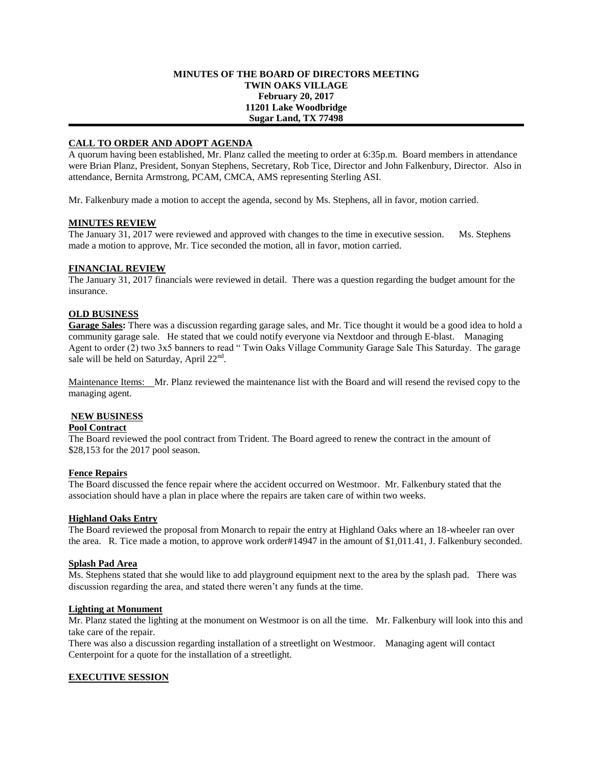## **MINUTES OF THE BOARD OF DIRECTORS MEETING TWIN OAKS VILLAGE February 20, 2017 11201 Lake Woodbridge Sugar Land, TX 77498**

# **CALL TO ORDER AND ADOPT AGENDA**

A quorum having been established, Mr. Planz called the meeting to order at 6:35p.m. Board members in attendance were Brian Planz, President, Sonyan Stephens, Secretary, Rob Tice, Director and John Falkenbury, Director. Also in attendance, Bernita Armstrong, PCAM, CMCA, AMS representing Sterling ASI.

Mr. Falkenbury made a motion to accept the agenda, second by Ms. Stephens, all in favor, motion carried.

## **MINUTES REVIEW**

The January 31, 2017 were reviewed and approved with changes to the time in executive session. Ms. Stephens made a motion to approve, Mr. Tice seconded the motion, all in favor, motion carried.

# **FINANCIAL REVIEW**

The January 31, 2017 financials were reviewed in detail. There was a question regarding the budget amount for the insurance.

## **OLD BUSINESS**

**Garage Sales:** There was a discussion regarding garage sales, and Mr. Tice thought it would be a good idea to hold a community garage sale. He stated that we could notify everyone via Nextdoor and through E-blast. Managing Agent to order (2) two 3x5 banners to read " Twin Oaks Village Community Garage Sale This Saturday. The garage sale will be held on Saturday, April 22<sup>nd</sup>.

Maintenance Items: Mr. Planz reviewed the maintenance list with the Board and will resend the revised copy to the managing agent.

# **NEW BUSINESS**

# **Pool Contract**

The Board reviewed the pool contract from Trident. The Board agreed to renew the contract in the amount of \$28,153 for the 2017 pool season.

### **Fence Repairs**

The Board discussed the fence repair where the accident occurred on Westmoor. Mr. Falkenbury stated that the association should have a plan in place where the repairs are taken care of within two weeks.

### **Highland Oaks Entry**

The Board reviewed the proposal from Monarch to repair the entry at Highland Oaks where an 18-wheeler ran over the area. R. Tice made a motion, to approve work order#14947 in the amount of \$1,011.41, J. Falkenbury seconded.

### **Splash Pad Area**

Ms. Stephens stated that she would like to add playground equipment next to the area by the splash pad. There was discussion regarding the area, and stated there weren't any funds at the time.

### **Lighting at Monument**

Mr. Planz stated the lighting at the monument on Westmoor is on all the time. Mr. Falkenbury will look into this and take care of the repair.

There was also a discussion regarding installation of a streetlight on Westmoor. Managing agent will contact Centerpoint for a quote for the installation of a streetlight.

# **EXECUTIVE SESSION**